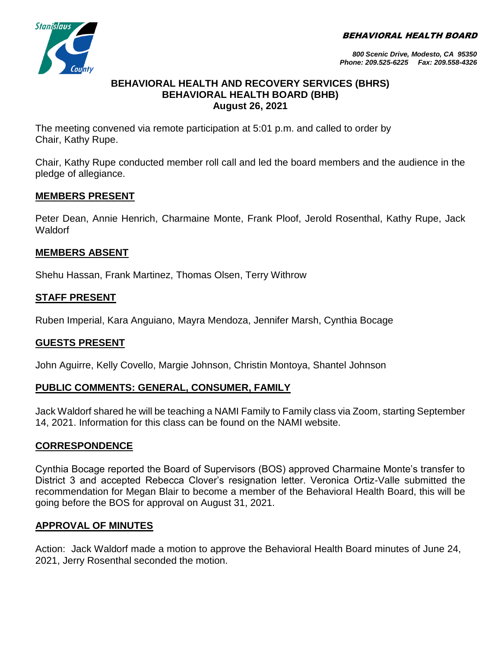BEHAVIORAL HEALTH BOARD



*800 Scenic Drive, Modesto, CA 95350 Phone: 209.525-6225 Fax: 209.558-4326*

#### **BEHAVIORAL HEALTH AND RECOVERY SERVICES (BHRS) BEHAVIORAL HEALTH BOARD (BHB) August 26, 2021**

The meeting convened via remote participation at 5:01 p.m. and called to order by Chair, Kathy Rupe.

Chair, Kathy Rupe conducted member roll call and led the board members and the audience in the pledge of allegiance.

### **MEMBERS PRESENT**

Peter Dean, Annie Henrich, Charmaine Monte, Frank Ploof, Jerold Rosenthal, Kathy Rupe, Jack **Waldorf** 

### **MEMBERS ABSENT**

Shehu Hassan, Frank Martinez, Thomas Olsen, Terry Withrow

### **STAFF PRESENT**

Ruben Imperial, Kara Anguiano, Mayra Mendoza, Jennifer Marsh, Cynthia Bocage

## **GUESTS PRESENT**

John Aguirre, Kelly Covello, Margie Johnson, Christin Montoya, Shantel Johnson

#### **PUBLIC COMMENTS: GENERAL, CONSUMER, FAMILY**

Jack Waldorf shared he will be teaching a NAMI Family to Family class via Zoom, starting September 14, 2021. Information for this class can be found on the NAMI website.

#### **CORRESPONDENCE**

Cynthia Bocage reported the Board of Supervisors (BOS) approved Charmaine Monte's transfer to District 3 and accepted Rebecca Clover's resignation letter. Veronica Ortiz-Valle submitted the recommendation for Megan Blair to become a member of the Behavioral Health Board, this will be going before the BOS for approval on August 31, 2021.

#### **APPROVAL OF MINUTES**

Action: Jack Waldorf made a motion to approve the Behavioral Health Board minutes of June 24, 2021, Jerry Rosenthal seconded the motion.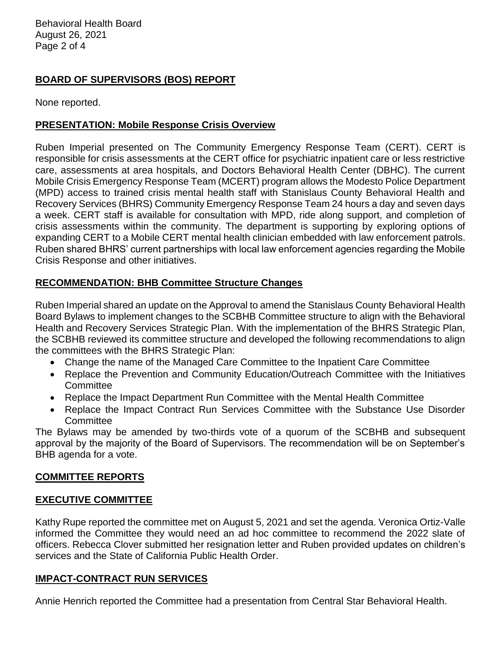Behavioral Health Board August 26, 2021 Page 2 of 4

## **BOARD OF SUPERVISORS (BOS) REPORT**

None reported.

## **PRESENTATION: Mobile Response Crisis Overview**

Ruben Imperial presented on The Community Emergency Response Team (CERT). CERT is responsible for crisis assessments at the CERT office for psychiatric inpatient care or less restrictive care, assessments at area hospitals, and Doctors Behavioral Health Center (DBHC). The current Mobile Crisis Emergency Response Team (MCERT) program allows the Modesto Police Department (MPD) access to trained crisis mental health staff with Stanislaus County Behavioral Health and Recovery Services (BHRS) Community Emergency Response Team 24 hours a day and seven days a week. CERT staff is available for consultation with MPD, ride along support, and completion of crisis assessments within the community. The department is supporting by exploring options of expanding CERT to a Mobile CERT mental health clinician embedded with law enforcement patrols. Ruben shared BHRS' current partnerships with local law enforcement agencies regarding the Mobile Crisis Response and other initiatives.

# **RECOMMENDATION: BHB Committee Structure Changes**

Ruben Imperial shared an update on the Approval to amend the Stanislaus County Behavioral Health Board Bylaws to implement changes to the SCBHB Committee structure to align with the Behavioral Health and Recovery Services Strategic Plan. With the implementation of the BHRS Strategic Plan, the SCBHB reviewed its committee structure and developed the following recommendations to align the committees with the BHRS Strategic Plan:

- Change the name of the Managed Care Committee to the Inpatient Care Committee
- Replace the Prevention and Community Education/Outreach Committee with the Initiatives **Committee**
- Replace the Impact Department Run Committee with the Mental Health Committee
- Replace the Impact Contract Run Services Committee with the Substance Use Disorder **Committee**

The Bylaws may be amended by two-thirds vote of a quorum of the SCBHB and subsequent approval by the majority of the Board of Supervisors. The recommendation will be on September's BHB agenda for a vote.

## **COMMITTEE REPORTS**

#### **EXECUTIVE COMMITTEE**

Kathy Rupe reported the committee met on August 5, 2021 and set the agenda. Veronica Ortiz-Valle informed the Committee they would need an ad hoc committee to recommend the 2022 slate of officers. Rebecca Clover submitted her resignation letter and Ruben provided updates on children's services and the State of California Public Health Order.

#### **IMPACT-CONTRACT RUN SERVICES**

Annie Henrich reported the Committee had a presentation from Central Star Behavioral Health.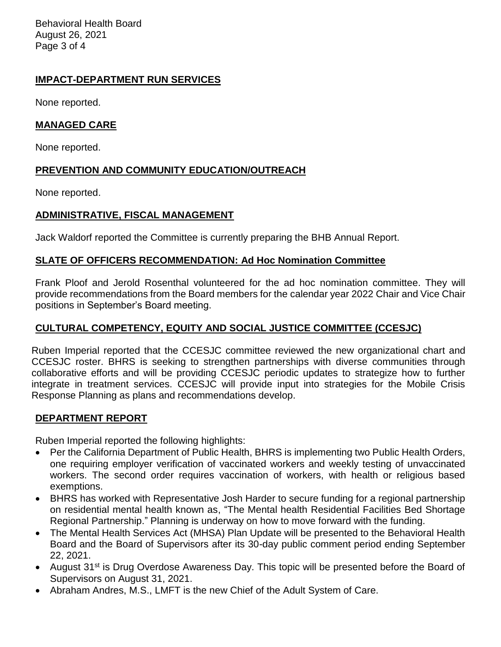Behavioral Health Board August 26, 2021 Page 3 of 4

## **IMPACT-DEPARTMENT RUN SERVICES**

None reported.

## **MANAGED CARE**

None reported.

# **PREVENTION AND COMMUNITY EDUCATION/OUTREACH**

None reported.

# **ADMINISTRATIVE, FISCAL MANAGEMENT**

Jack Waldorf reported the Committee is currently preparing the BHB Annual Report.

## **SLATE OF OFFICERS RECOMMENDATION: Ad Hoc Nomination Committee**

Frank Ploof and Jerold Rosenthal volunteered for the ad hoc nomination committee. They will provide recommendations from the Board members for the calendar year 2022 Chair and Vice Chair positions in September's Board meeting.

## **CULTURAL COMPETENCY, EQUITY AND SOCIAL JUSTICE COMMITTEE (CCESJC)**

Ruben Imperial reported that the CCESJC committee reviewed the new organizational chart and CCESJC roster. BHRS is seeking to strengthen partnerships with diverse communities through collaborative efforts and will be providing CCESJC periodic updates to strategize how to further integrate in treatment services. CCESJC will provide input into strategies for the Mobile Crisis Response Planning as plans and recommendations develop.

#### **DEPARTMENT REPORT**

Ruben Imperial reported the following highlights:

- Per the California Department of Public Health, BHRS is implementing two Public Health Orders, one requiring employer verification of vaccinated workers and weekly testing of unvaccinated workers. The second order requires vaccination of workers, with health or religious based exemptions.
- BHRS has worked with Representative Josh Harder to secure funding for a regional partnership on residential mental health known as, "The Mental health Residential Facilities Bed Shortage Regional Partnership." Planning is underway on how to move forward with the funding.
- The Mental Health Services Act (MHSA) Plan Update will be presented to the Behavioral Health Board and the Board of Supervisors after its 30-day public comment period ending September 22, 2021.
- August 31<sup>st</sup> is Drug Overdose Awareness Day. This topic will be presented before the Board of Supervisors on August 31, 2021.
- Abraham Andres, M.S., LMFT is the new Chief of the Adult System of Care.